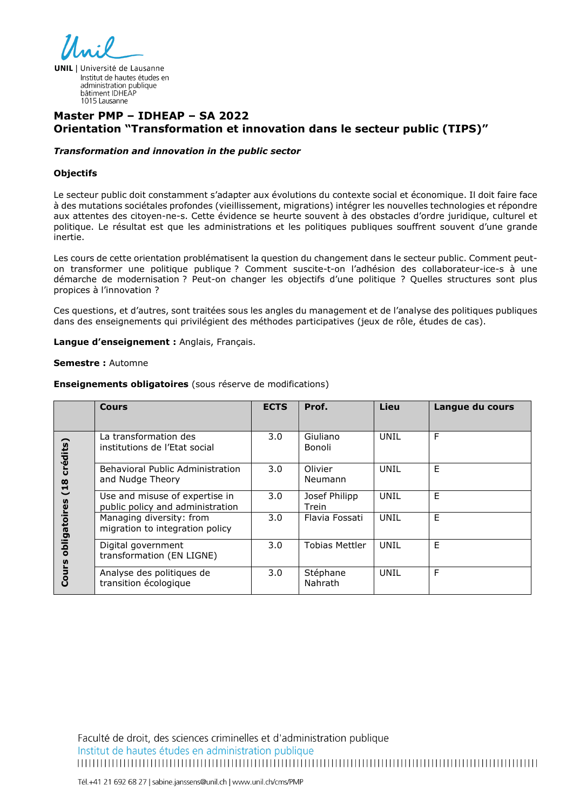

**UNIL** | Université de Lausanne Institut de hautes études en administration publique bâtiment IDHEAF 1015 Lausanne

# **Master PMP – IDHEAP – SA 2022 Orientation "Transformation et innovation dans le secteur public (TIPS)"**

#### *Transformation and innovation in the public sector*

#### **Objectifs**

Le secteur public doit constamment s'adapter aux évolutions du contexte social et économique. Il doit faire face à des mutations sociétales profondes (vieillissement, migrations) intégrer les nouvelles technologies et répondre aux attentes des citoyen-ne-s. Cette évidence se heurte souvent à des obstacles d'ordre juridique, culturel et politique. Le résultat est que les administrations et les politiques publiques souffrent souvent d'une grande inertie.

Les cours de cette orientation problématisent la question du changement dans le secteur public. Comment peuton transformer une politique publique ? Comment suscite-t-on l'adhésion des collaborateur-ice-s à une démarche de modernisation ? Peut-on changer les objectifs d'une politique ? Quelles structures sont plus propices à l'innovation ?

Ces questions, et d'autres, sont traitées sous les angles du management et de l'analyse des politiques publiques dans des enseignements qui privilégient des méthodes participatives (jeux de rôle, études de cas).

#### **Langue d'enseignement :** Anglais, Français.

#### **Semestre :** Automne

|                                                  | Cours                                                              | <b>ECTS</b> | Prof.                  | Lieu | Langue du cours |
|--------------------------------------------------|--------------------------------------------------------------------|-------------|------------------------|------|-----------------|
| crédits)<br>(18)<br>obligatoires<br><b>Cours</b> | La transformation des<br>institutions de l'Etat social             | 3.0         | Giuliano<br>Bonoli     | UNIL | F               |
|                                                  | Behavioral Public Administration<br>and Nudge Theory               | 3.0         | Olivier<br>Neumann     | UNIL | E               |
|                                                  | Use and misuse of expertise in<br>public policy and administration | 3.0         | Josef Philipp<br>Trein | UNIL | E               |
|                                                  | Managing diversity: from<br>migration to integration policy        | 3.0         | Flavia Fossati         | UNIL | E               |
|                                                  | Digital government<br>transformation (EN LIGNE)                    | 3.0         | <b>Tobias Mettler</b>  | UNIL | E               |
|                                                  | Analyse des politiques de<br>transition écologique                 | 3.0         | Stéphane<br>Nahrath    | UNIL | F               |

#### **Enseignements obligatoires** (sous réserve de modifications)

Faculté de droit, des sciences criminelles et d'administration publique Institut de hautes études en administration publique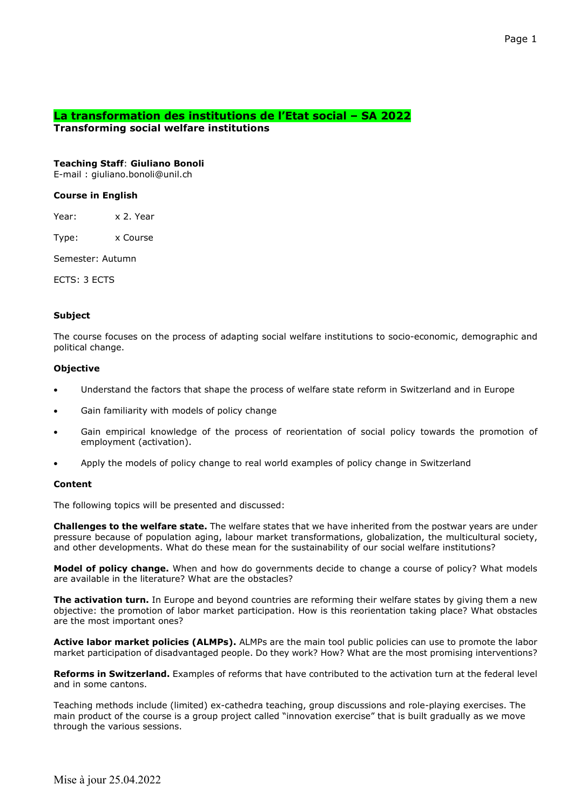# **La transformation des institutions de l'Etat social – SA 2022**

**Transforming social welfare institutions** 

## **Teaching Staff**: **Giuliano Bonoli**

E-mail : giuliano.bonoli@unil.ch

### **Course in English**

Year: x 2. Year

Type: x Course

Semester: Autumn

ECTS: 3 ECTS

#### . . . . . . . . . . . . . . . . . . .

### **Subject**

The course focuses on the process of adapting social welfare institutions to socio-economic, demographic and political change.

## **Objective**

- Understand the factors that shape the process of welfare state reform in Switzerland and in Europe
- Gain familiarity with models of policy change
- Gain empirical knowledge of the process of reorientation of social policy towards the promotion of employment (activation).
- Apply the models of policy change to real world examples of policy change in Switzerland

### **Content**

The following topics will be presented and discussed:

**Challenges to the welfare state.** The welfare states that we have inherited from the postwar years are under pressure because of population aging, labour market transformations, globalization, the multicultural society, and other developments. What do these mean for the sustainability of our social welfare institutions?

**Model of policy change.** When and how do governments decide to change a course of policy? What models are available in the literature? What are the obstacles?

**The activation turn.** In Europe and beyond countries are reforming their welfare states by giving them a new objective: the promotion of labor market participation. How is this reorientation taking place? What obstacles are the most important ones?

**Active labor market policies (ALMPs).** ALMPs are the main tool public policies can use to promote the labor market participation of disadvantaged people. Do they work? How? What are the most promising interventions?

**Reforms in Switzerland.** Examples of reforms that have contributed to the activation turn at the federal level and in some cantons.

Teaching methods include (limited) ex-cathedra teaching, group discussions and role-playing exercises. The main product of the course is a group project called "innovation exercise" that is built gradually as we move through the various sessions.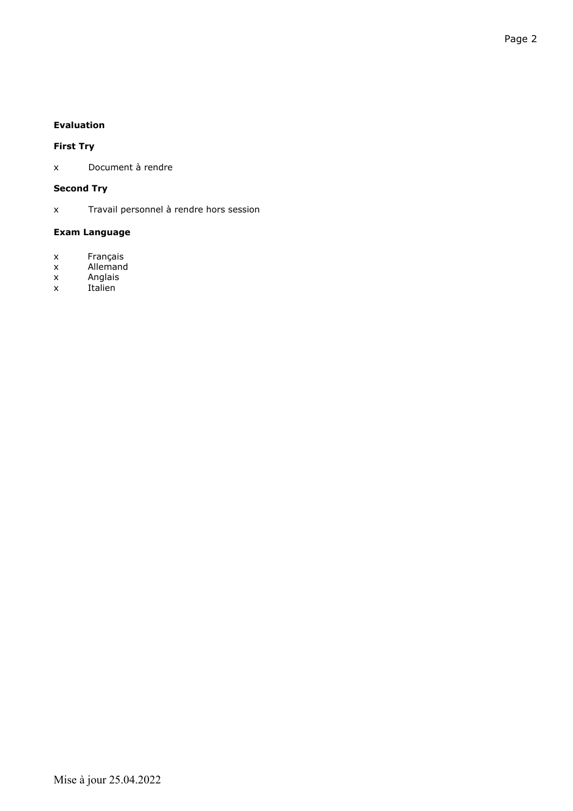# **First Try**

x Document à rendre

# **Second Try**

x Travail personnel à rendre hors session

# **Exam Language**

- x Français
- x Allemand
- x Anglais<br>x Italien
- Italien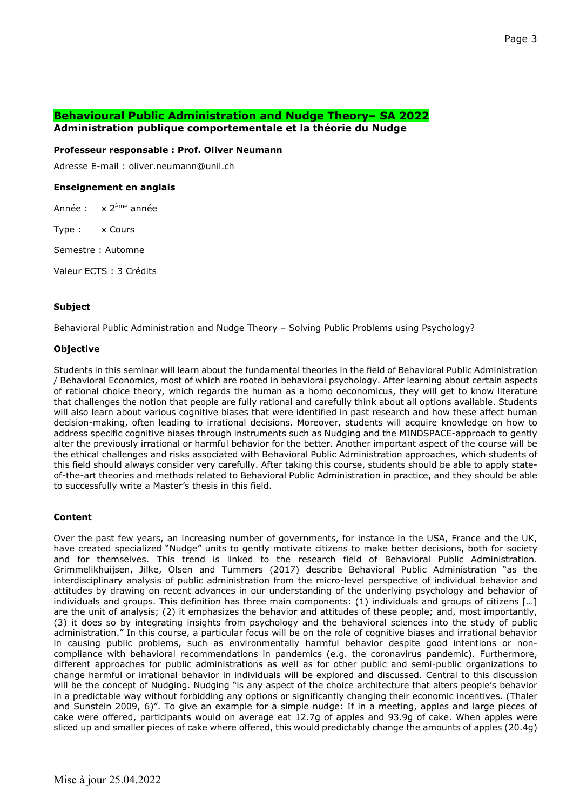# **Behavioural Public Administration and Nudge Theory– SA 2022**

**Administration publique comportementale et la théorie du Nudge** 

#### **Professeur responsable : Prof. Oliver Neumann**

Adresse E-mail : oliver.neumann@unil.ch

### **Enseignement en anglais**

Année : x 2ème année

Type : x Cours

Semestre : Automne

Valeur ECTS : 3 Crédits

#### **Subject**

Behavioral Public Administration and Nudge Theory – Solving Public Problems using Psychology?

#### **Objective**

Students in this seminar will learn about the fundamental theories in the field of Behavioral Public Administration / Behavioral Economics, most of which are rooted in behavioral psychology. After learning about certain aspects of rational choice theory, which regards the human as a homo oeconomicus, they will get to know literature that challenges the notion that people are fully rational and carefully think about all options available. Students will also learn about various cognitive biases that were identified in past research and how these affect human decision-making, often leading to irrational decisions. Moreover, students will acquire knowledge on how to address specific cognitive biases through instruments such as Nudging and the MINDSPACE-approach to gently alter the previously irrational or harmful behavior for the better. Another important aspect of the course will be the ethical challenges and risks associated with Behavioral Public Administration approaches, which students of this field should always consider very carefully. After taking this course, students should be able to apply stateof-the-art theories and methods related to Behavioral Public Administration in practice, and they should be able to successfully write a Master's thesis in this field.

### **Content**

Over the past few years, an increasing number of governments, for instance in the USA, France and the UK, have created specialized "Nudge" units to gently motivate citizens to make better decisions, both for society and for themselves. This trend is linked to the research field of Behavioral Public Administration. Grimmelikhuijsen, Jilke, Olsen and Tummers (2017) describe Behavioral Public Administration "as the interdisciplinary analysis of public administration from the micro-level perspective of individual behavior and attitudes by drawing on recent advances in our understanding of the underlying psychology and behavior of individuals and groups. This definition has three main components: (1) individuals and groups of citizens […] are the unit of analysis; (2) it emphasizes the behavior and attitudes of these people; and, most importantly, (3) it does so by integrating insights from psychology and the behavioral sciences into the study of public administration." In this course, a particular focus will be on the role of cognitive biases and irrational behavior in causing public problems, such as environmentally harmful behavior despite good intentions or noncompliance with behavioral recommendations in pandemics (e.g. the coronavirus pandemic). Furthermore, different approaches for public administrations as well as for other public and semi-public organizations to change harmful or irrational behavior in individuals will be explored and discussed. Central to this discussion will be the concept of Nudging. Nudging "is any aspect of the choice architecture that alters people's behavior in a predictable way without forbidding any options or significantly changing their economic incentives. (Thaler and Sunstein 2009, 6)". To give an example for a simple nudge: If in a meeting, apples and large pieces of cake were offered, participants would on average eat 12.7g of apples and 93.9g of cake. When apples were sliced up and smaller pieces of cake where offered, this would predictably change the amounts of apples (20.4g)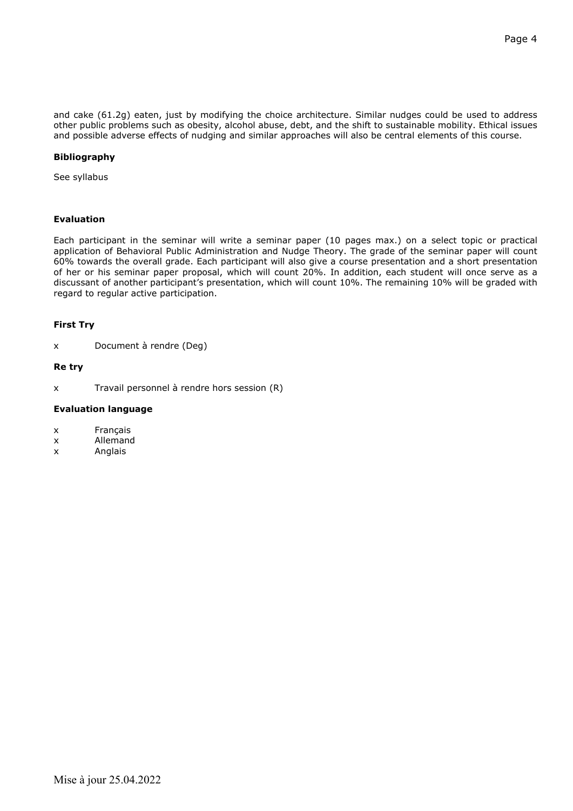and cake (61.2g) eaten, just by modifying the choice architecture. Similar nudges could be used to address other public problems such as obesity, alcohol abuse, debt, and the shift to sustainable mobility. Ethical issues and possible adverse effects of nudging and similar approaches will also be central elements of this course.

#### **Bibliography**

See syllabus

### **Evaluation**

Each participant in the seminar will write a seminar paper (10 pages max.) on a select topic or practical application of Behavioral Public Administration and Nudge Theory. The grade of the seminar paper will count 60% towards the overall grade. Each participant will also give a course presentation and a short presentation of her or his seminar paper proposal, which will count 20%. In addition, each student will once serve as a discussant of another participant's presentation, which will count 10%. The remaining 10% will be graded with regard to regular active participation.

#### **First Try**

x Document à rendre (Deg)

#### **Re try**

x Travail personnel à rendre hors session (R)

#### **Evaluation language**

- x Français
- x Allemand
- x Anglais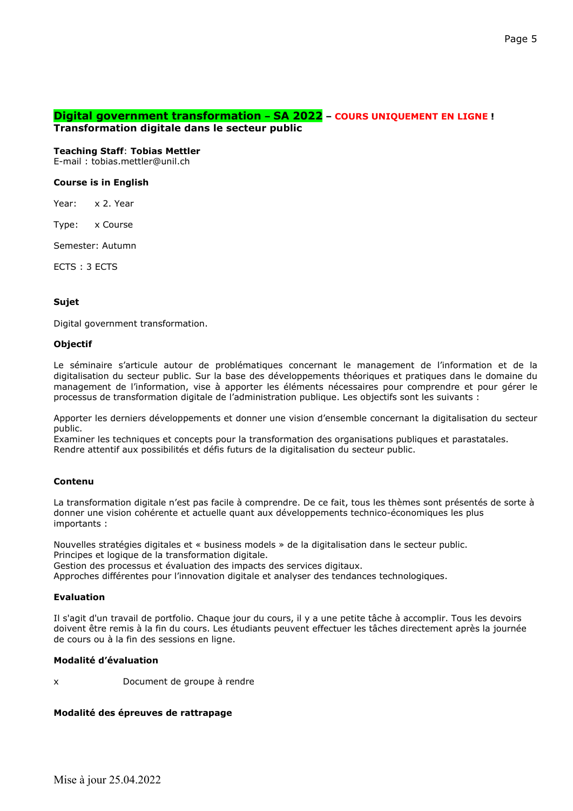# **Digital government transformation – SA 2022 – COURS UNIQUEMENT EN LIGNE !**

**Transformation digitale dans le secteur public**

### **Teaching Staff**: **Tobias Mettler**

E-mail : tobias.mettler@unil.ch

# **Course is in English**

Year: x 2. Year

Type: x Course

Semester: Autumn

ECTS : 3 ECTS

# **Sujet**

Digital government transformation.

# **Objectif**

Le séminaire s'articule autour de problématiques concernant le management de l'information et de la digitalisation du secteur public. Sur la base des développements théoriques et pratiques dans le domaine du management de l'information, vise à apporter les éléments nécessaires pour comprendre et pour gérer le processus de transformation digitale de l'administration publique. Les objectifs sont les suivants :

Apporter les derniers développements et donner une vision d'ensemble concernant la digitalisation du secteur public.

Examiner les techniques et concepts pour la transformation des organisations publiques et parastatales. Rendre attentif aux possibilités et défis futurs de la digitalisation du secteur public.

# **Contenu**

La transformation digitale n'est pas facile à comprendre. De ce fait, tous les thèmes sont présentés de sorte à donner une vision cohérente et actuelle quant aux développements technico-économiques les plus importants :

Nouvelles stratégies digitales et « business models » de la digitalisation dans le secteur public. Principes et logique de la transformation digitale.

Gestion des processus et évaluation des impacts des services digitaux.

Approches différentes pour l'innovation digitale et analyser des tendances technologiques.

### **Evaluation**

Il s'agit d'un travail de portfolio. Chaque jour du cours, il y a une petite tâche à accomplir. Tous les devoirs doivent être remis à la fin du cours. Les étudiants peuvent effectuer les tâches directement après la journée de cours ou à la fin des sessions en ligne.

# **Modalité d'évaluation**

x Document de groupe à rendre

# **Modalité des épreuves de rattrapage**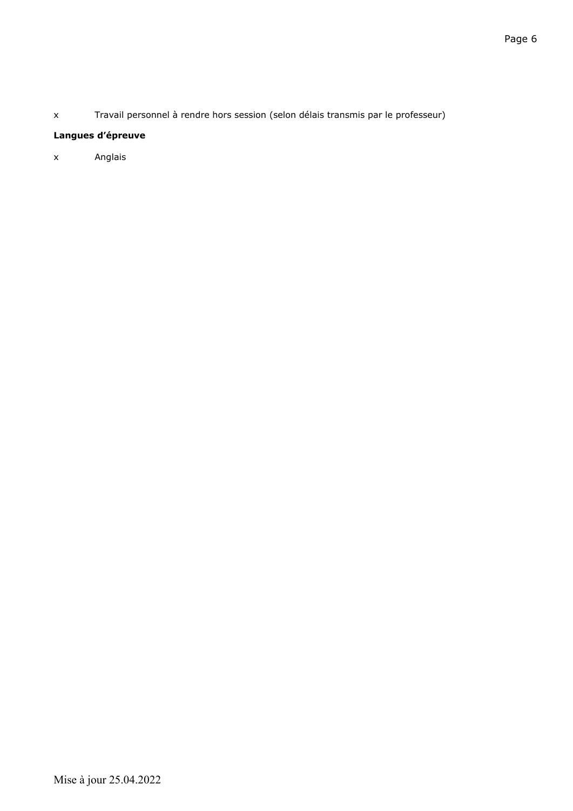x Travail personnel à rendre hors session (selon délais transmis par le professeur)

# **Langues d'épreuve**

x Anglais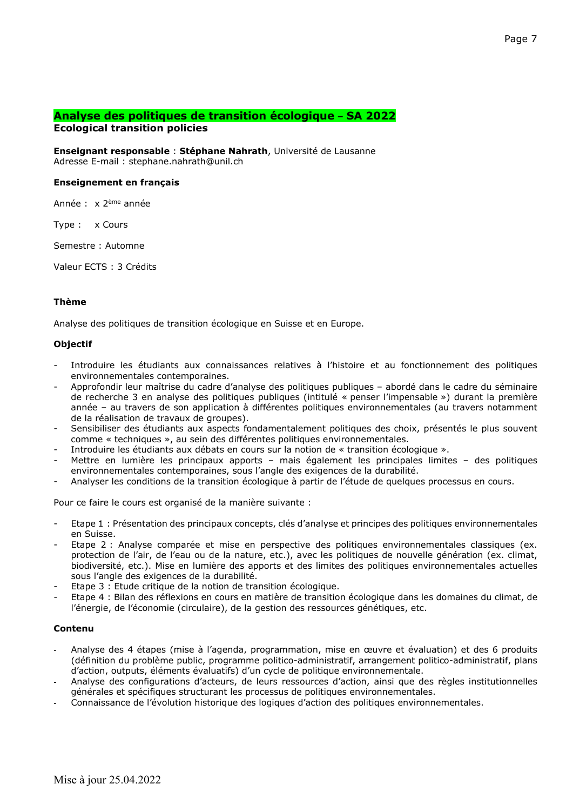# **Analyse des politiques de transition écologique – SA 2022**

# **Ecological transition policies**

**Enseignant responsable** : **Stéphane Nahrath**, Université de Lausanne Adresse E-mail : stephane.nahrath@unil.ch

### **Enseignement en français**

Année : x 2ème année

Type : x Cours

Semestre : Automne

Valeur ECTS : 3 Crédits

#### **Thème**

Analyse des politiques de transition écologique en Suisse et en Europe.

### **Objectif**

- Introduire les étudiants aux connaissances relatives à l'histoire et au fonctionnement des politiques environnementales contemporaines.
- Approfondir leur maîtrise du cadre d'analyse des politiques publiques abordé dans le cadre du séminaire de recherche 3 en analyse des politiques publiques (intitulé « penser l'impensable ») durant la première année – au travers de son application à différentes politiques environnementales (au travers notamment de la réalisation de travaux de groupes).
- Sensibiliser des étudiants aux aspects fondamentalement politiques des choix, présentés le plus souvent comme « techniques », au sein des différentes politiques environnementales.
- Introduire les étudiants aux débats en cours sur la notion de « transition écologique ».
- Mettre en lumière les principaux apports mais également les principales limites des politiques environnementales contemporaines, sous l'angle des exigences de la durabilité.
- Analyser les conditions de la transition écologique à partir de l'étude de quelques processus en cours.

Pour ce faire le cours est organisé de la manière suivante :

- Etape 1 : Présentation des principaux concepts, clés d'analyse et principes des politiques environnementales en Suisse.
- Etape 2 : Analyse comparée et mise en perspective des politiques environnementales classiques (ex. protection de l'air, de l'eau ou de la nature, etc.), avec les politiques de nouvelle génération (ex. climat, biodiversité, etc.). Mise en lumière des apports et des limites des politiques environnementales actuelles sous l'angle des exigences de la durabilité.
- Etape 3 : Etude critique de la notion de transition écologique.
- Etape 4 : Bilan des réflexions en cours en matière de transition écologique dans les domaines du climat, de l'énergie, de l'économie (circulaire), de la gestion des ressources génétiques, etc.

# **Contenu**

- Analyse des 4 étapes (mise à l'agenda, programmation, mise en œuvre et évaluation) et des 6 produits (définition du problème public, programme politico-administratif, arrangement politico-administratif, plans d'action, outputs, éléments évaluatifs) d'un cycle de politique environnementale.
- Analyse des configurations d'acteurs, de leurs ressources d'action, ainsi que des règles institutionnelles générales et spécifiques structurant les processus de politiques environnementales.
- Connaissance de l'évolution historique des logiques d'action des politiques environnementales.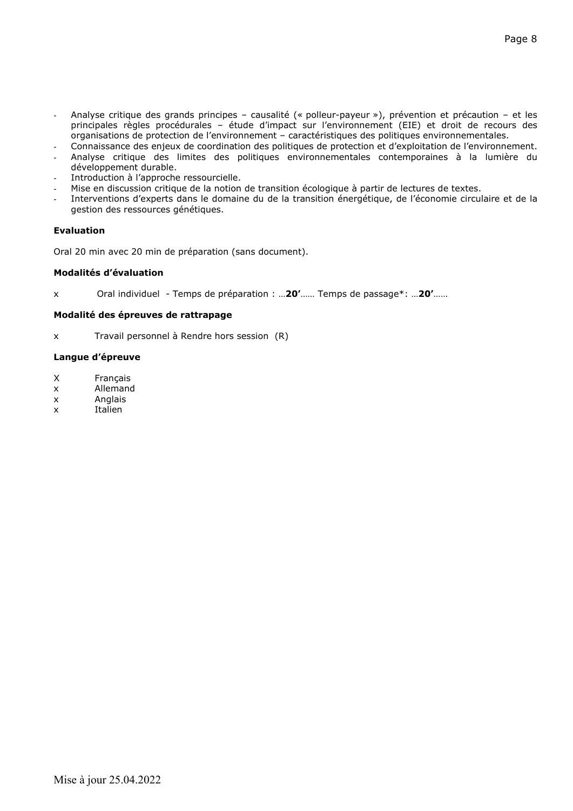- Analyse critique des grands principes causalité (« polleur-payeur »), prévention et précaution et les principales règles procédurales – étude d'impact sur l'environnement (EIE) et droit de recours des organisations de protection de l'environnement – caractéristiques des politiques environnementales.
- Connaissance des enjeux de coordination des politiques de protection et d'exploitation de l'environnement.
- Analyse critique des limites des politiques environnementales contemporaines à la lumière du développement durable.
- Introduction à l'approche ressourcielle.
- Mise en discussion critique de la notion de transition écologique à partir de lectures de textes.
- Interventions d'experts dans le domaine du de la transition énergétique, de l'économie circulaire et de la gestion des ressources génétiques.

Oral 20 min avec 20 min de préparation (sans document).

### **Modalités d'évaluation**

x Oral individuel - Temps de préparation : …**20'**…… Temps de passage\*: …**20'**……

# **Modalité des épreuves de rattrapage**

x Travail personnel à Rendre hors session (R)

# **Langue d'épreuve**

- X Français
- x Allemand
- x Anglais
- x Italien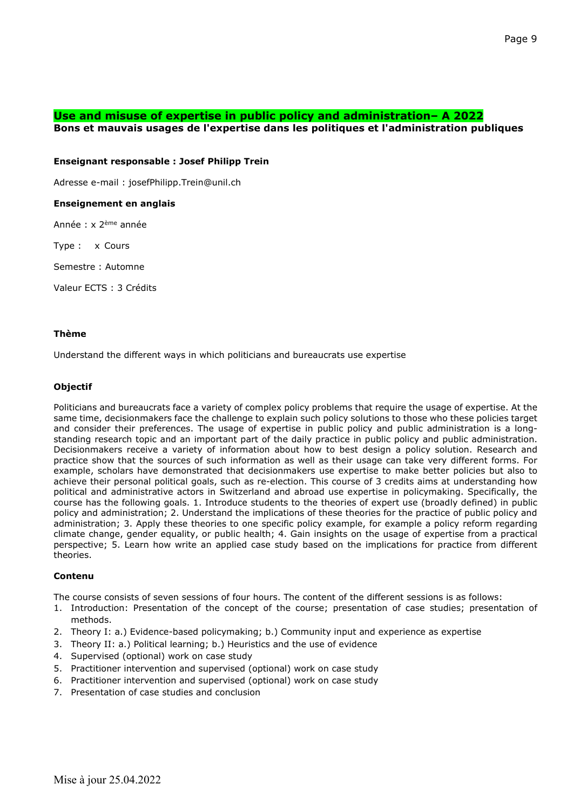# **Use and misuse of expertise in public policy and administration– A 2022**

**Bons et mauvais usages de l'expertise dans les politiques et l'administration publiques**

### **Enseignant responsable : Josef Philipp Trein**

Adresse e-mail : josefPhilipp.Trein@unil.ch

# **Enseignement en anglais**

Année : x 2ème année

Type : x Cours

Semestre : Automne

Valeur ECTS : 3 Crédits

# **Thème**

Understand the different ways in which politicians and bureaucrats use expertise

### **Objectif**

Politicians and bureaucrats face a variety of complex policy problems that require the usage of expertise. At the same time, decisionmakers face the challenge to explain such policy solutions to those who these policies target and consider their preferences. The usage of expertise in public policy and public administration is a longstanding research topic and an important part of the daily practice in public policy and public administration. Decisionmakers receive a variety of information about how to best design a policy solution. Research and practice show that the sources of such information as well as their usage can take very different forms. For example, scholars have demonstrated that decisionmakers use expertise to make better policies but also to achieve their personal political goals, such as re-election. This course of 3 credits aims at understanding how political and administrative actors in Switzerland and abroad use expertise in policymaking. Specifically, the course has the following goals. 1. Introduce students to the theories of expert use (broadly defined) in public policy and administration; 2. Understand the implications of these theories for the practice of public policy and administration; 3. Apply these theories to one specific policy example, for example a policy reform regarding climate change, gender equality, or public health; 4. Gain insights on the usage of expertise from a practical perspective; 5. Learn how write an applied case study based on the implications for practice from different theories.

### **Contenu**

The course consists of seven sessions of four hours. The content of the different sessions is as follows:

- 1. Introduction: Presentation of the concept of the course; presentation of case studies; presentation of methods.
- 2. Theory I: a.) Evidence-based policymaking; b.) Community input and experience as expertise
- 3. Theory II: a.) Political learning; b.) Heuristics and the use of evidence
- 4. Supervised (optional) work on case study
- 5. Practitioner intervention and supervised (optional) work on case study
- 6. Practitioner intervention and supervised (optional) work on case study
- 7. Presentation of case studies and conclusion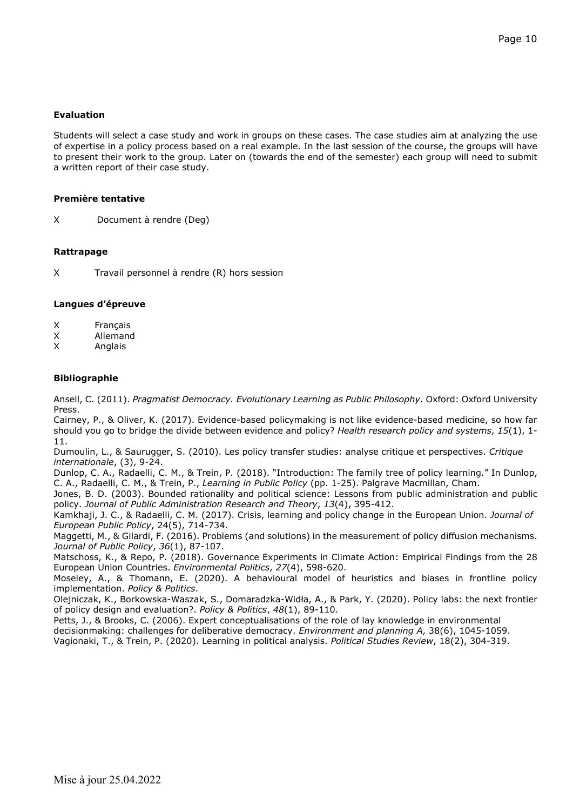Students will select a case study and work in groups on these cases. The case studies aim at analyzing the use of expertise in a policy process based on a real example. In the last session of the course, the groups will have to present their work to the group. Later on (towards the end of the semester) each group will need to submit a written report of their case study.

#### **Première tentative**

X Document à rendre (Deg)

#### **Rattrapage**

X Travail personnel à rendre (R) hors session

#### **Langues d'épreuve**

- X Français<br>X Allemand
- **Allemand**
- X Anglais

#### **Bibliographie**

Ansell, C. (2011). *Pragmatist Democracy. Evolutionary Learning as Public Philosophy*. Oxford: Oxford University Press.

Cairney, P., & Oliver, K. (2017). Evidence-based policymaking is not like evidence-based medicine, so how far should you go to bridge the divide between evidence and policy? *Health research policy and systems*, *15*(1), 1- 11.

Dumoulin, L., & Saurugger, S. (2010). Les policy transfer studies: analyse critique et perspectives. *Critique internationale*, (3), 9-24.

Dunlop, C. A., Radaelli, C. M., & Trein, P. (2018). "Introduction: The family tree of policy learning." In Dunlop, C. A., Radaelli, C. M., & Trein, P., *Learning in Public Policy* (pp. 1-25). Palgrave Macmillan, Cham.

Jones, B. D. (2003). Bounded rationality and political science: Lessons from public administration and public policy. *Journal of Public Administration Research and Theory*, *13*(4), 395-412.

Kamkhaji, J. C., & Radaelli, C. M. (2017). Crisis, learning and policy change in the European Union. *Journal of European Public Policy*, 24(5), 714-734.

Maggetti, M., & Gilardi, F. (2016). Problems (and solutions) in the measurement of policy diffusion mechanisms. *Journal of Public Policy*, *36*(1), 87-107.

Matschoss, K., & Repo, P. (2018). Governance Experiments in Climate Action: Empirical Findings from the 28 European Union Countries. *Environmental Politics*, *27*(4), 598-620.

Moseley, A., & Thomann, E. (2020). A behavioural model of heuristics and biases in frontline policy implementation. *Policy & Politics*.

Olejniczak, K., Borkowska-Waszak, S., Domaradzka-Widła, A., & Park, Y. (2020). Policy labs: the next frontier of policy design and evaluation?. *Policy & Politics*, *48*(1), 89-110.

Petts, J., & Brooks, C. (2006). Expert conceptualisations of the role of lay knowledge in environmental decisionmaking: challenges for deliberative democracy. *Environment and planning A*, 38(6), 1045-1059.

Vagionaki, T., & Trein, P. (2020). Learning in political analysis. *Political Studies Review*, 18(2), 304-319.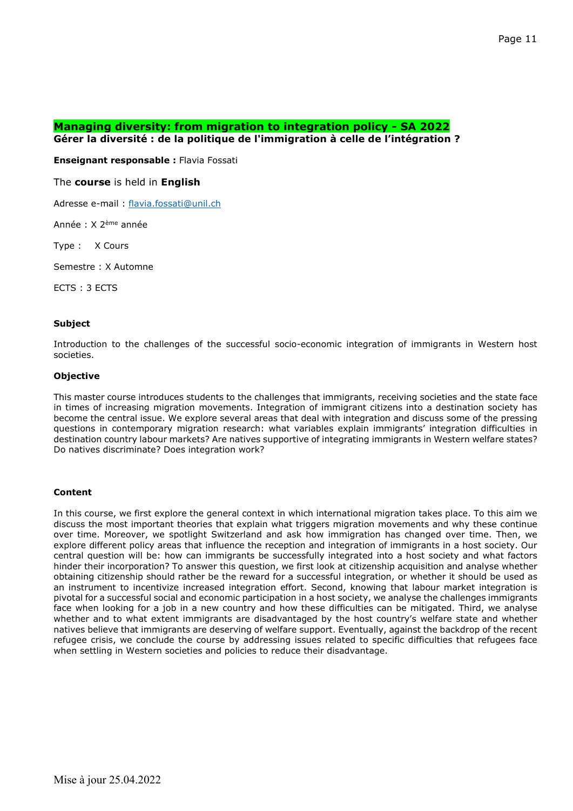## **Managing diversity: from migration to integration policy - SA 2022 Gérer la diversité : de la politique de l'immigration à celle de l'intégration ?**

**Enseignant responsable :** Flavia Fossati

# The **course** is held in **English**

Adresse e-mail : [flavia.fossati@unil.ch](mailto:flavia.fossati@unil.ch)

Année : X 2ème année

Type : X Cours

Semestre : X Automne

ECTS : 3 ECTS

#### **Subject**

Introduction to the challenges of the successful socio-economic integration of immigrants in Western host societies.

### **Objective**

This master course introduces students to the challenges that immigrants, receiving societies and the state face in times of increasing migration movements. Integration of immigrant citizens into a destination society has become the central issue. We explore several areas that deal with integration and discuss some of the pressing questions in contemporary migration research: what variables explain immigrants' integration difficulties in destination country labour markets? Are natives supportive of integrating immigrants in Western welfare states? Do natives discriminate? Does integration work?

### **Content**

In this course, we first explore the general context in which international migration takes place. To this aim we discuss the most important theories that explain what triggers migration movements and why these continue over time. Moreover, we spotlight Switzerland and ask how immigration has changed over time. Then, we explore different policy areas that influence the reception and integration of immigrants in a host society. Our central question will be: how can immigrants be successfully integrated into a host society and what factors hinder their incorporation? To answer this question, we first look at citizenship acquisition and analyse whether obtaining citizenship should rather be the reward for a successful integration, or whether it should be used as an instrument to incentivize increased integration effort. Second, knowing that labour market integration is pivotal for a successful social and economic participation in a host society, we analyse the challenges immigrants face when looking for a job in a new country and how these difficulties can be mitigated. Third, we analyse whether and to what extent immigrants are disadvantaged by the host country's welfare state and whether natives believe that immigrants are deserving of welfare support. Eventually, against the backdrop of the recent refugee crisis, we conclude the course by addressing issues related to specific difficulties that refugees face when settling in Western societies and policies to reduce their disadvantage.